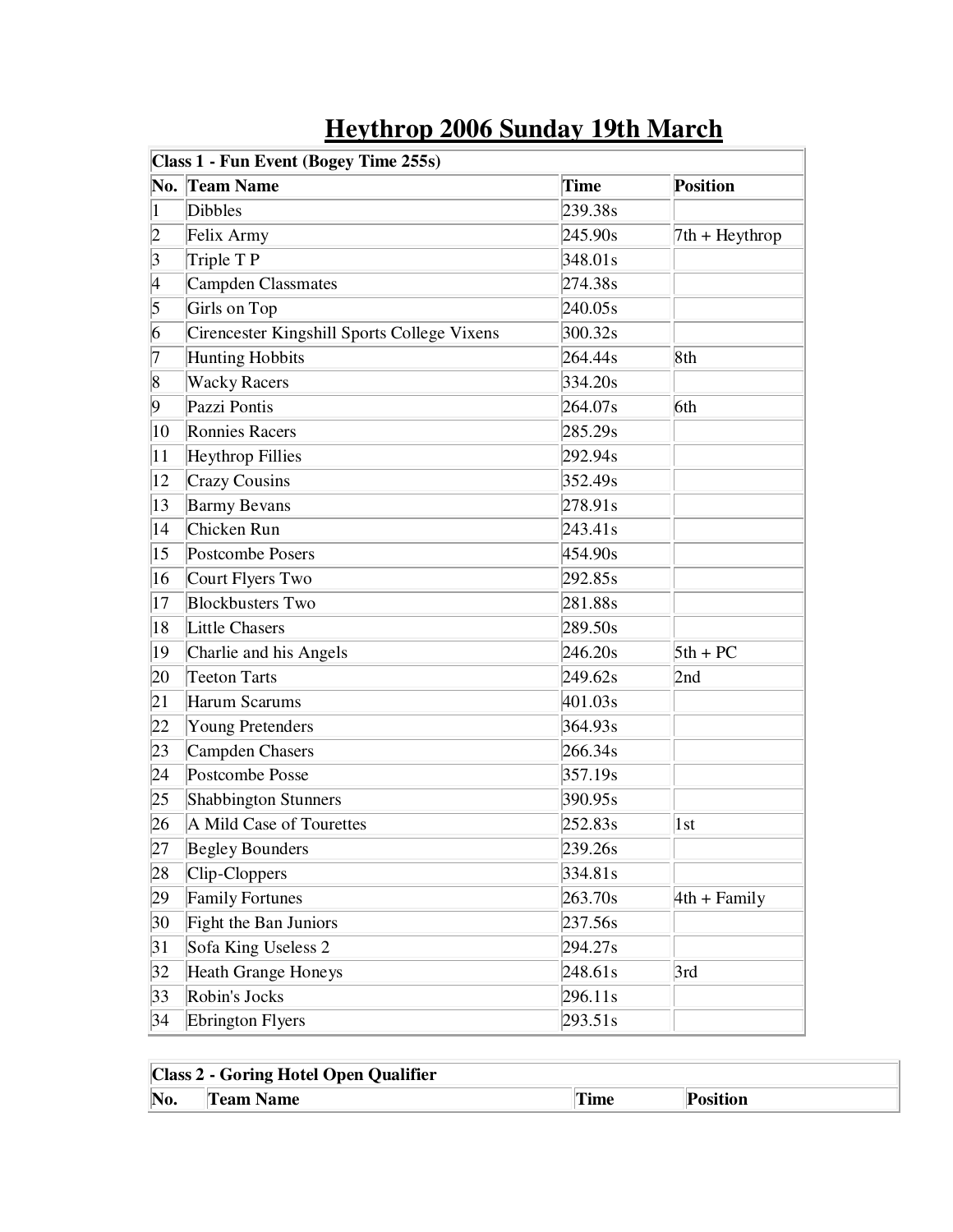|                | Class 1 - Fun Event (Bogey Time 255s)<br>No. Team Name | Time    |                  |
|----------------|--------------------------------------------------------|---------|------------------|
|                | <b>Dibbles</b>                                         | 239.38s | <b>Position</b>  |
| $\mathbf{1}$   |                                                        |         |                  |
| $\overline{2}$ | Felix Army                                             | 245.90s | $7th + Heythrop$ |
| $\vert 3$      | Triple TP                                              | 348.01s |                  |
| 4              | Campden Classmates                                     | 274.38s |                  |
| 5              | Girls on Top                                           | 240.05s |                  |
| 6              | Cirencester Kingshill Sports College Vixens            | 300.32s |                  |
| 7              | <b>Hunting Hobbits</b>                                 | 264.44s | 8th              |
| $\vert 8$      | <b>Wacky Racers</b>                                    | 334.20s |                  |
| 9              | Pazzi Pontis                                           | 264.07s | 6th              |
| 10             | <b>Ronnies Racers</b>                                  | 285.29s |                  |
| 11             | <b>Heythrop Fillies</b>                                | 292.94s |                  |
| 12             | <b>Crazy Cousins</b>                                   | 352.49s |                  |
| 13             | <b>Barmy Bevans</b>                                    | 278.91s |                  |
| 14             | Chicken Run                                            | 243.41s |                  |
| 15             | Postcombe Posers                                       | 454.90s |                  |
| 16             | Court Flyers Two                                       | 292.85s |                  |
| 17             | <b>Blockbusters Two</b>                                | 281.88s |                  |
| 18             | <b>Little Chasers</b>                                  | 289.50s |                  |
| 19             | Charlie and his Angels                                 | 246.20s | $5th + PC$       |
| 20             | Teeton Tarts                                           | 249.62s | 2nd              |
| 21             | <b>Harum Scarums</b>                                   | 401.03s |                  |
| 22             | <b>Young Pretenders</b>                                | 364.93s |                  |
| 23             | Campden Chasers                                        | 266.34s |                  |
| 24             | Postcombe Posse                                        | 357.19s |                  |
| 25             | Shabbington Stunners                                   | 390.95s |                  |
| 26             | A Mild Case of Tourettes                               | 252.83s | 1st              |
| 27             | <b>Begley Bounders</b>                                 | 239.26s |                  |
| 28             | Clip-Cloppers                                          | 334.81s |                  |
| 29             | <b>Family Fortunes</b>                                 | 263.70s | $4th + Family$   |
| 30             | Fight the Ban Juniors                                  | 237.56s |                  |
| 31             | Sofa King Useless 2                                    | 294.27s |                  |
| 32             | Heath Grange Honeys                                    | 248.61s | 3rd              |
| 33             | Robin's Jocks                                          | 296.11s |                  |
| 34             | <b>Ebrington Flyers</b>                                | 293.51s |                  |

## **Heythrop 2006 Sunday 19th March**

| <b>Class 2 - Goring Hotel Open Qualifier</b> |                  |             |                 |
|----------------------------------------------|------------------|-------------|-----------------|
| No.                                          | <b>Team Name</b> | <b>Time</b> | <b>Position</b> |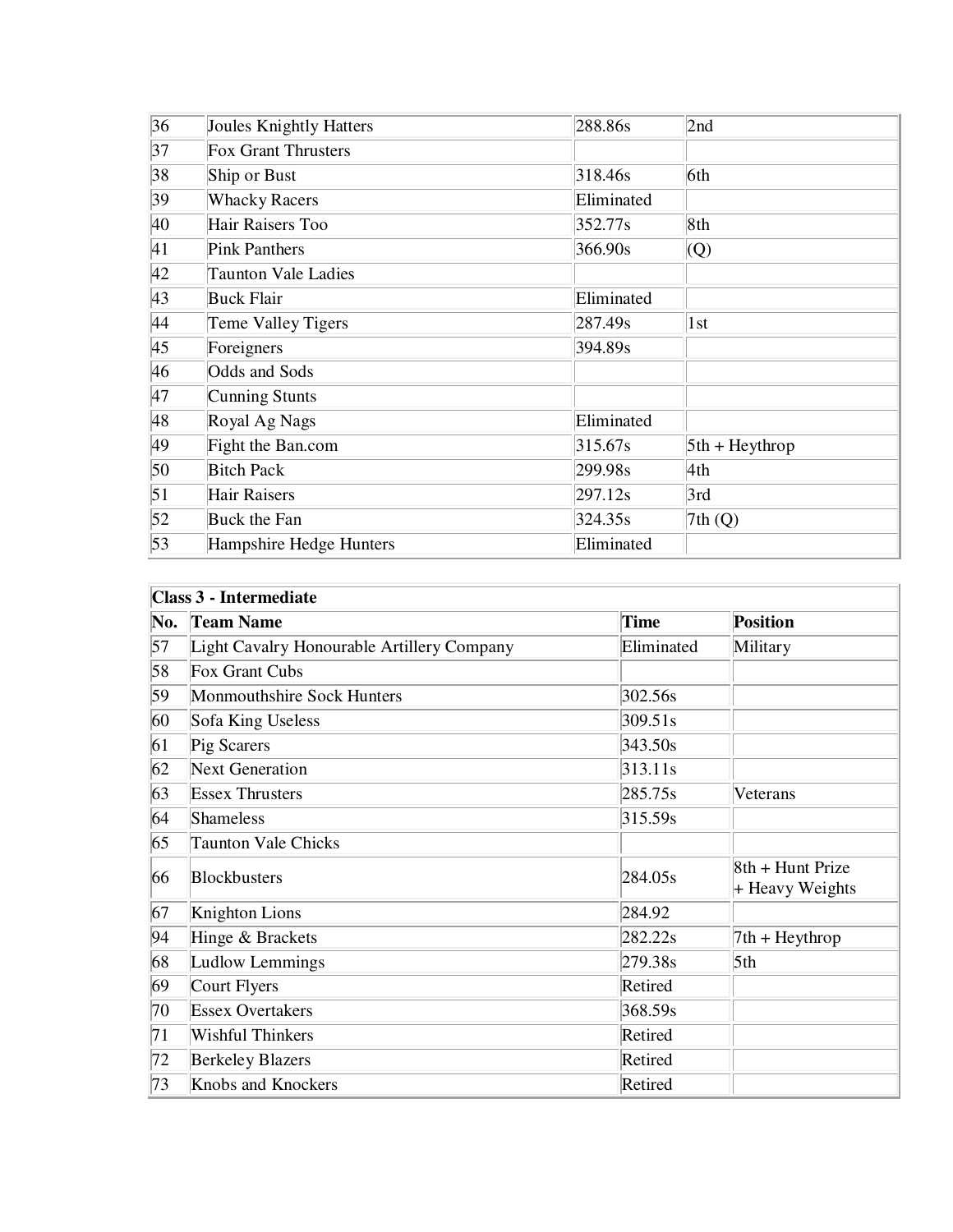| 36               | <b>Joules Knightly Hatters</b> | 288.86s    | 2nd              |
|------------------|--------------------------------|------------|------------------|
| 37               | <b>Fox Grant Thrusters</b>     |            |                  |
| 38               | Ship or Bust                   | 318.46s    | 6th              |
| 39               | <b>Whacky Racers</b>           | Eliminated |                  |
| 40               | Hair Raisers Too               | 352.77s    | 8th              |
| 41               | <b>Pink Panthers</b>           | 366.90s    | $\overline{Q}$   |
| 42               | <b>Taunton Vale Ladies</b>     |            |                  |
| 43               | <b>Buck Flair</b>              | Eliminated |                  |
| 44               | Teme Valley Tigers             | 287.49s    | 1st              |
| 45               | Foreigners                     | 394.89s    |                  |
| 46               | Odds and Sods                  |            |                  |
| 47               | Cunning Stunts                 |            |                  |
| 48               | Royal Ag Nags                  | Eliminated |                  |
| 49               | Fight the Ban.com              | 315.67s    | $5th + Heythrop$ |
| 50               | <b>Bitch Pack</b>              | 299.98s    | 4th              |
| $\vert 51 \vert$ | <b>Hair Raisers</b>            | 297.12s    | 3rd              |
| 52               | Buck the Fan                   | 324.35s    | 7th(Q)           |
| 53               | Hampshire Hedge Hunters        | Eliminated |                  |

| <b>Class 3 - Intermediate</b> |                                            |            |                                       |
|-------------------------------|--------------------------------------------|------------|---------------------------------------|
| No.                           | <b>Team Name</b>                           | Time       | <b>Position</b>                       |
| 57                            | Light Cavalry Honourable Artillery Company | Eliminated | Military                              |
| 58                            | Fox Grant Cubs                             |            |                                       |
| 59                            | Monmouthshire Sock Hunters                 | 302.56s    |                                       |
| 60                            | Sofa King Useless                          | 309.51s    |                                       |
| 61                            | Pig Scarers                                | 343.50s    |                                       |
| 62                            | <b>Next Generation</b>                     | 313.11s    |                                       |
| 63                            | <b>Essex Thrusters</b>                     | 285.75s    | Veterans                              |
| 64                            | Shameless                                  | 315.59s    |                                       |
| 65                            | <b>Taunton Vale Chicks</b>                 |            |                                       |
| 66                            | <b>Blockbusters</b>                        | 284.05s    | 8th + Hunt Prize<br>$+$ Heavy Weights |
| 67                            | Knighton Lions                             | 284.92     |                                       |
| 94                            | Hinge & Brackets                           | 282.22s    | $7th + Heythrop$                      |
| 68                            | Ludlow Lemmings                            | 279.38s    | 5 <sup>th</sup>                       |
| 69                            | Court Flyers                               | Retired    |                                       |
| 70                            | <b>Essex Overtakers</b>                    | 368.59s    |                                       |
| 71                            | <b>Wishful Thinkers</b>                    | Retired    |                                       |
| 72                            | <b>Berkeley Blazers</b>                    | Retired    |                                       |
| 73                            | Knobs and Knockers                         | Retired    |                                       |